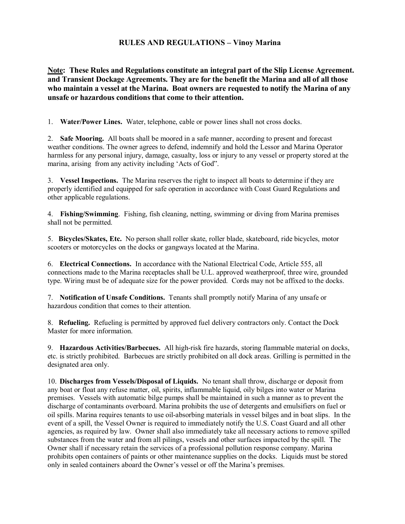# **RULES AND REGULATIONS – Vinoy Marina**

**Note: These Rules and Regulations constitute an integral part of the Slip License Agreement. and Transient Dockage Agreements. They are for the benefit the Marina and all of all those who maintain a vessel at the Marina. Boat owners are requested to notify the Marina of any unsafe or hazardous conditions that come to their attention.** 

1. **Water/Power Lines.** Water, telephone, cable or power lines shall not cross docks.

2. **Safe Mooring.** All boats shall be moored in a safe manner, according to present and forecast weather conditions. The owner agrees to defend, indemnify and hold the Lessor and Marina Operator harmless for any personal injury, damage, casualty, loss or injury to any vessel or property stored at the marina, arising from any activity including 'Acts of God".

3. **Vessel Inspections.** The Marina reserves the right to inspect all boats to determine if they are properly identified and equipped for safe operation in accordance with Coast Guard Regulations and other applicable regulations.

4. **Fishing/Swimming**. Fishing, fish cleaning, netting, swimming or diving from Marina premises shall not be permitted.

5. **Bicycles/Skates, Etc.** No person shall roller skate, roller blade, skateboard, ride bicycles, motor scooters or motorcycles on the docks or gangways located at the Marina.

6. **Electrical Connections.** In accordance with the National Electrical Code, Article 555, all connections made to the Marina receptacles shall be U.L. approved weatherproof, three wire, grounded type. Wiring must be of adequate size for the power provided. Cords may not be affixed to the docks.

7. **Notification of Unsafe Conditions.** Tenants shall promptly notify Marina of any unsafe or hazardous condition that comes to their attention.

8. **Refueling.** Refueling is permitted by approved fuel delivery contractors only. Contact the Dock Master for more information.

9. **Hazardous Activities/Barbecues.** All high-risk fire hazards, storing flammable material on docks, etc. is strictly prohibited. Barbecues are strictly prohibited on all dock areas. Grilling is permitted in the designated area only.

10. **Discharges from Vessels/Disposal of Liquids.** No tenant shall throw, discharge or deposit from any boat or float any refuse matter, oil, spirits, inflammable liquid, oily bilges into water or Marina premises. Vessels with automatic bilge pumps shall be maintained in such a manner as to prevent the discharge of contaminants overboard. Marina prohibits the use of detergents and emulsifiers on fuel or oil spills. Marina requires tenants to use oil-absorbing materials in vessel bilges and in boat slips. In the event of a spill, the Vessel Owner is required to immediately notify the U.S. Coast Guard and all other agencies, as required by law. Owner shall also immediately take all necessary actions to remove spilled substances from the water and from all pilings, vessels and other surfaces impacted by the spill. The Owner shall if necessary retain the services of a professional pollution response company. Marina prohibits open containers of paints or other maintenance supplies on the docks. Liquids must be stored only in sealed containers aboard the Owner's vessel or off the Marina's premises.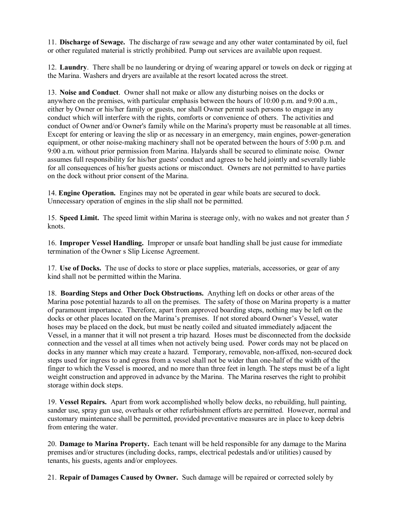11. **Discharge of Sewage.** The discharge of raw sewage and any other water contaminated by oil, fuel or other regulated material is strictly prohibited. Pump out services are available upon request.

12. **Laundry**. There shall be no laundering or drying of wearing apparel or towels on deck or rigging at the Marina. Washers and dryers are available at the resort located across the street.

13. **Noise and Conduct**. Owner shall not make or allow any disturbing noises on the docks or anywhere on the premises, with particular emphasis between the hours of 10:00 p.m. and 9:00 a.m., either by Owner or his/her family or guests, nor shall Owner permit such persons to engage in any conduct which will interfere with the rights, comforts or convenience of others. The activities and conduct of Owner and/or Owner's family while on the Marina's property must be reasonable at all times. Except for entering or leaving the slip or as necessary in an emergency, main engines, power-generation equipment, or other noise-making machinery shall not be operated between the hours of 5:00 p.m. and 9:00 a.m. without prior permission from Marina. Halyards shall be secured to eliminate noise. Owner assumes full responsibility for his/her guests' conduct and agrees to be held jointly and severally liable for all consequences of his/her guests actions or misconduct. Owners are not permitted to have parties on the dock without prior consent of the Marina.

14. **Engine Operation.** Engines may not be operated in gear while boats are secured to dock. Unnecessary operation of engines in the slip shall not be permitted.

15. **Speed Limit.** The speed limit within Marina is steerage only, with no wakes and not greater than *5*  knots.

16. **Improper Vessel Handling.** Improper or unsafe boat handling shall be just cause for immediate termination of the Owner s Slip License Agreement.

17. **Use of Docks.** The use of docks to store or place supplies, materials, accessories, or gear of any kind shall not be permitted within the Marina.

18. **Boarding Steps and Other Dock Obstructions.** Anything left on docks or other areas of the Marina pose potential hazards to all on the premises. The safety of those on Marina property is a matter of paramount importance. Therefore, apart from approved boarding steps, nothing may be left on the docks or other places located on the Marina's premises. If not stored aboard Owner's Vessel, water hoses may be placed on the dock, but must be neatly coiled and situated immediately adjacent the Vessel, in a manner that it will not present a trip hazard. Hoses must be disconnected from the dockside connection and the vessel at all times when not actively being used. Power cords may not be placed on docks in any manner which may create a hazard. Temporary, removable, non-affixed, non-secured dock steps used for ingress to and egress from a vessel shall not be wider than one-half of the width of the finger to which the Vessel is moored, and no more than three feet in length. The steps must be of a light weight construction and approved in advance by the Marina. The Marina reserves the right to prohibit storage within dock steps.

19. **Vessel Repairs.** Apart from work accomplished wholly below decks, no rebuilding, hull painting, sander use, spray gun use, overhauls or other refurbishment efforts are permitted. However, normal and customary maintenance shall be permitted, provided preventative measures are in place to keep debris from entering the water.

20. **Damage to Marina Property.** Each tenant will be held responsible for any damage to the Marina premises and/or structures (including docks, ramps, electrical pedestals and/or utilities) caused by tenants, his guests, agents and/or employees.

21. **Repair of Damages Caused by Owner.** Such damage will be repaired or corrected solely by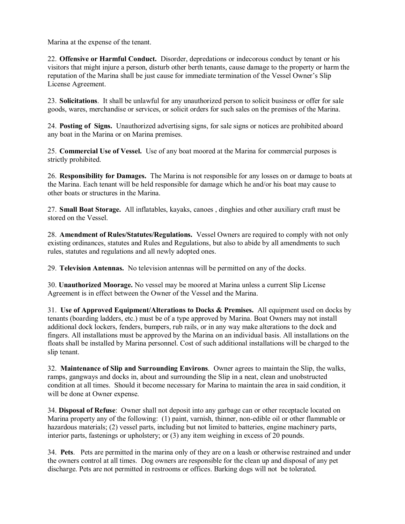Marina at the expense of the tenant.

22. **Offensive or Harmful Conduct.** Disorder, depredations or indecorous conduct by tenant or his visitors that might injure a person, disturb other berth tenants, cause damage to the property or harm the reputation of the Marina shall be just cause for immediate termination of the Vessel Owner's Slip License Agreement.

23. **Solicitations**. It shall be unlawful for any unauthorized person to solicit business or offer for sale goods, wares, merchandise or services, or solicit orders for such sales on the premises of the Marina.

24. **Posting of Signs.** Unauthorized advertising signs, for sale signs or notices are prohibited aboard any boat in the Marina or on Marina premises.

25. **Commercial Use of Vessel.** Use of any boat moored at the Marina for commercial purposes is strictly prohibited.

26. **Responsibility for Damages.** The Marina is not responsible for any losses on or damage to boats at the Marina. Each tenant will be held responsible for damage which he and/or his boat may cause to other boats or structures in the Marina.

27. **Small Boat Storage.** All inflatables, kayaks, canoes , dinghies and other auxiliary craft must be stored on the Vessel.

28. **Amendment of Rules/Statutes/Regulations.** Vessel Owners are required to comply with not only existing ordinances, statutes and Rules and Regulations, but also to abide by all amendments to such rules, statutes and regulations and all newly adopted ones.

29. **Television Antennas.** No television antennas will be permitted on any of the docks.

30. **Unauthorized Moorage.** No vessel may be moored at Marina unless a current Slip License Agreement is in effect between the Owner of the Vessel and the Marina.

31. **Use of Approved Equipment/Alterations to Docks & Premises.** All equipment used on docks by tenants (boarding ladders, etc.) must be of a type approved by Marina. Boat Owners may not install additional dock lockers, fenders, bumpers, rub rails, or in any way make alterations to the dock and fingers. All installations must be approved by the Marina on an individual basis. All installations on the floats shall be installed by Marina personnel. Cost of such additional installations will be charged to the slip tenant.

32. **Maintenance of Slip and Surrounding Environs**. Owner agrees to maintain the Slip, the walks, ramps, gangways and docks in, about and surrounding the Slip in a neat, clean and unobstructed condition at all times. Should it become necessary for Marina to maintain the area in said condition, it will be done at Owner expense.

34. **Disposal of Refuse**: Owner shall not deposit into any garbage can or other receptacle located on Marina property any of the following: (1) paint, varnish, thinner, non-edible oil or other flammable or hazardous materials; (2) vessel parts, including but not limited to batteries, engine machinery parts, interior parts, fastenings or upholstery; or (3) any item weighing in excess of 20 pounds.

34. **Pets**. Pets are permitted in the marina only of they are on a leash or otherwise restrained and under the owners control at all times. Dog owners are responsible for the clean up and disposal of any pet discharge. Pets are not permitted in restrooms or offices. Barking dogs will not be tolerated.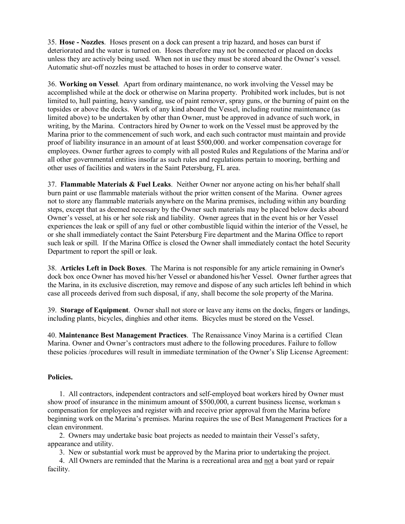35. **Hose - Nozzles**. Hoses present on a dock can present a trip hazard, and hoses can burst if deteriorated and the water is turned on. Hoses therefore may not be connected or placed on docks unless they are actively being used. When not in use they must be stored aboard the Owner's vessel. Automatic shut-off nozzles must be attached to hoses in order to conserve water.

36. **Working on Vessel**. Apart from ordinary maintenance, no work involving the Vessel may be accomplished while at the dock or otherwise on Marina property. Prohibited work includes, but is not limited to, hull painting, heavy sanding, use of paint remover, spray guns, or the burning of paint on the topsides or above the decks. Work of any kind aboard the Vessel, including routine maintenance (as limited above) to be undertaken by other than Owner, must be approved in advance of such work, in writing, by the Marina. Contractors hired by Owner to work on the Vessel must be approved by the Marina prior to the commencement of such work, and each such contractor must maintain and provide proof of liability insurance in an amount of at least \$500,000. and worker compensation coverage for employees. Owner further agrees to comply with all posted Rules and Regulations of the Marina and/or all other governmental entities insofar as such rules and regulations pertain to mooring, berthing and other uses of facilities and waters in the Saint Petersburg, FL area.

37. **Flammable Materials & Fuel Leaks**. Neither Owner nor anyone acting on his/her behalf shall burn paint or use flammable materials without the prior written consent of the Marina. Owner agrees not to store any flammable materials anywhere on the Marina premises, including within any boarding steps, except that as deemed necessary by the Owner such materials may be placed below decks aboard Owner's vessel, at his or her sole risk and liability. Owner agrees that in the event his or her Vessel experiences the leak or spill of any fuel or other combustible liquid within the interior of the Vessel, he or she shall immediately contact the Saint Petersburg Fire department and the Marina Office to report such leak or spill. If the Marina Office is closed the Owner shall immediately contact the hotel Security Department to report the spill or leak.

38. **Articles Left in Dock Boxes**. The Marina is not responsible for any article remaining in Owner's dock box once Owner has moved his/her Vessel or abandoned his/her Vessel. Owner further agrees that the Marina, in its exclusive discretion, may remove and dispose of any such articles left behind in which case all proceeds derived from such disposal, if any, shall become the sole property of the Marina.

39. **Storage of Equipment**. Owner shall not store or leave any items on the docks, fingers or landings, including plants, bicycles, dinghies and other items. Bicycles must be stored on the Vessel.

40. **Maintenance Best Management Practices**. The Renaissance Vinoy Marina is a certified Clean Marina. Owner and Owner's contractors must adhere to the following procedures. Failure to follow these policies /procedures will result in immediate termination of the Owner's Slip License Agreement:

#### **Policies.**

1. All contractors, independent contractors and self-employed boat workers hired by Owner must show proof of insurance in the minimum amount of \$500,000, a current business license, workman s compensation for employees and register with and receive prior approval from the Marina before beginning work on the Marina's premises. Marina requires the use of Best Management Practices for a clean environment.

2. Owners may undertake basic boat projects as needed to maintain their Vessel's safety, appearance and utility.

3. New or substantial work must be approved by the Marina prior to undertaking the project.

4. All Owners are reminded that the Marina is a recreational area and not a boat yard or repair facility.